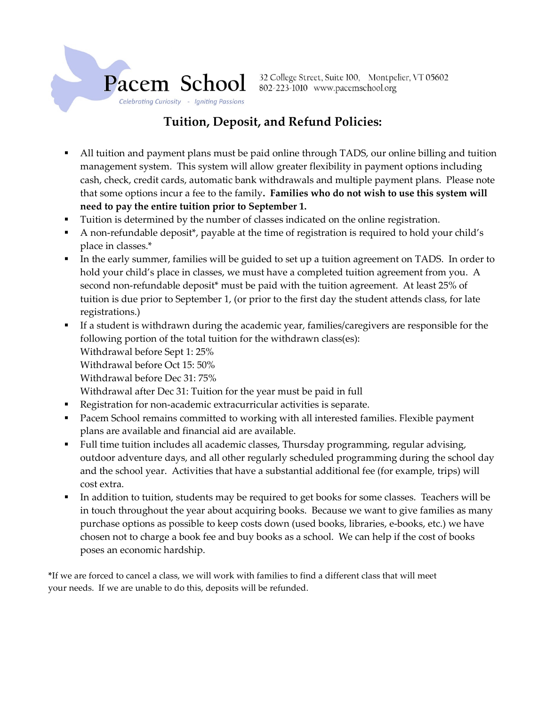

32 College Street, Suite 100, Montpelier, VT 05602 802-223-1010 www.pacemschool.org

# Tuition, Deposit, and Refund Policies:

- All tuition and payment plans must be paid online through TADS, our online billing and tuition management system. This system will allow greater flexibility in payment options including cash, check, credit cards, automatic bank withdrawals and multiple payment plans. Please note that some options incur a fee to the family. Families who do not wish to use this system will need to pay the entire tuition prior to September 1.
- Tuition is determined by the number of classes indicated on the online registration.
- A non-refundable deposit\*, payable at the time of registration is required to hold your child's place in classes.\*
- In the early summer, families will be guided to set up a tuition agreement on TADS. In order to hold your child's place in classes, we must have a completed tuition agreement from you. A second non-refundable deposit<sup>\*</sup> must be paid with the tuition agreement. At least 25% of tuition is due prior to September 1, (or prior to the first day the student attends class, for late registrations.)
- If a student is withdrawn during the academic year, families/caregivers are responsible for the following portion of the total tuition for the withdrawn class(es):
	- Withdrawal before Sept 1: 25%
	- Withdrawal before Oct 15: 50%
	- Withdrawal before Dec 31: 75%
	- Withdrawal after Dec 31: Tuition for the year must be paid in full
- Registration for non-academic extracurricular activities is separate.
- Pacem School remains committed to working with all interested families. Flexible payment plans are available and financial aid are available.
- Full time tuition includes all academic classes, Thursday programming, regular advising, outdoor adventure days, and all other regularly scheduled programming during the school day and the school year. Activities that have a substantial additional fee (for example, trips) will cost extra.
- In addition to tuition, students may be required to get books for some classes. Teachers will be in touch throughout the year about acquiring books. Because we want to give families as many purchase options as possible to keep costs down (used books, libraries, e-books, etc.) we have chosen not to charge a book fee and buy books as a school. We can help if the cost of books poses an economic hardship.

\*If we are forced to cancel a class, we will work with families to find a different class that will meet your needs. If we are unable to do this, deposits will be refunded.